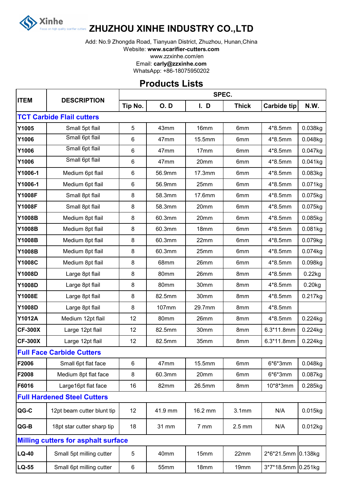

## **ZHUZHOU XINHE INDUSTRY CO.,LTD**

Add: No.9 Zhongda Road, Tianyuan District, Zhuzhou, Hunan,China

Website: **www.scarifier-cutters.com**

www.zzxinhe.com/en

Email: **carly@zzxinhe.com**

WhatsApp: +86-18075950202

## **Products Lists**

| <b>ITEM</b>    | <b>DESCRIPTION</b>                         | SPEC.   |            |         |                 |                    |            |  |  |
|----------------|--------------------------------------------|---------|------------|---------|-----------------|--------------------|------------|--|--|
|                |                                            | Tip No. | <b>O.D</b> | I. D    | <b>Thick</b>    | <b>Carbide tip</b> | N.W.       |  |  |
|                | <b>TCT Carbide Flail cutters</b>           |         |            |         |                 |                    |            |  |  |
| Y1005          | Small 5pt flail                            | 5       | 43mm       | 16mm    | 6mm             | $4*8.5mm$          | 0.038kg    |  |  |
| Y1006          | Small 6pt flail                            | 6       | 47mm       | 15.5mm  | 6 <sub>mm</sub> | 4*8.5mm            | 0.048kg    |  |  |
| Y1006          | Small 6pt flail                            | 6       | 47mm       | 17mm    | 6mm             | 4*8.5mm            | 0.047kg    |  |  |
| Y1006          | Small 6pt flail                            | 6       | 47mm       | 20mm    | 6mm             | 4*8.5mm            | 0.041kg    |  |  |
| Y1006-1        | Medium 6pt flail                           | 6       | 56.9mm     | 17.3mm  | 6mm             | 4*8.5mm            | 0.083kg    |  |  |
| Y1006-1        | Medium 6pt flail                           | 6       | 56.9mm     | 25mm    | 6mm             | 4*8.5mm            | 0.071kg    |  |  |
| <b>Y1008F</b>  | Small 8pt flail                            | 8       | 58.3mm     | 17.6mm  | 6mm             | 4*8.5mm            | 0.075kg    |  |  |
| <b>Y1008F</b>  | Small 8pt flail                            | 8       | 58.3mm     | 20mm    | 6mm             | 4*8.5mm            | 0.075kg    |  |  |
| Y1008B         | Medium 8pt flail                           | 8       | 60.3mm     | 20mm    | 6mm             | $4*8.5mm$          | 0.085kg    |  |  |
| Y1008B         | Medium 8pt flail                           | 8       | 60.3mm     | 18mm    | 6 <sub>mm</sub> | $4*8.5mm$          | 0.081kg    |  |  |
| <b>Y1008B</b>  | Medium 8pt flail                           | 8       | 60.3mm     | 22mm    | 6mm             | $4*8.5mm$          | 0.079kg    |  |  |
| Y1008B         | Medium 8pt flail                           | 8       | 60.3mm     | 25mm    | 6mm             | 4*8.5mm            | 0.074kg    |  |  |
| <b>Y1008C</b>  | Medium 8pt flail                           | 8       | 68mm       | 26mm    | 6mm             | $4*8.5mm$          | 0.098kg    |  |  |
| <b>Y1008D</b>  | Large 8pt flail                            | 8       | 80mm       | 26mm    | 8mm             | 4*8.5mm            | 0.22kg     |  |  |
| Y1008D         | Large 8pt flail                            | 8       | 80mm       | 30mm    | 8mm             | $4*8.5mm$          | $0.20$ kg  |  |  |
| Y1008E         | Large 8pt flail                            | 8       | 82.5mm     | 30mm    | 8mm             | $4*8.5mm$          | 0.217kg    |  |  |
| <b>Y1008D</b>  | Large 8pt flail                            | 8       | 107mm      | 29.7mm  | 8mm             | 4*8.5mm            |            |  |  |
| <b>Y1012A</b>  | Medium 12pt flail                          | 12      | 80mm       | 26mm    | 8mm             | 4*8.5mm            | 0.224kg    |  |  |
| <b>CF-300X</b> | Large 12pt flail                           | 12      | 82.5mm     | 30mm    | 8mm             | $6.3*11.8mm$       | 0.224kg    |  |  |
| <b>CF-300X</b> | Large 12pt flail                           | 12      | 82.5mm     | 35mm    | 8mm             | $6.3*11.8mm$       | 0.224kg    |  |  |
|                | <b>Full Face Carbide Cutters</b>           |         |            |         |                 |                    |            |  |  |
| F2006          | Small 6pt flat face                        | 6       | 47mm       | 15.5mm  | 6mm             | $6*6*3mm$          | 0.048kg    |  |  |
| F2008          | Medium 8pt flat face                       | 8       | 60.3mm     | 20mm    | 6mm             | $6*6*3mm$          | 0.087kg    |  |  |
| F6016          | Large16pt flat face                        | 16      | 82mm       | 26.5mm  | 8mm             | 10*8*3mm           | 0.285kg    |  |  |
|                | <b>Full Hardened Steel Cutters</b>         |         |            |         |                 |                    |            |  |  |
| QG-C           | 12pt beam cutter blunt tip                 | 12      | 41.9 mm    | 16.2 mm | 3.1mm           | N/A                | 0.015kg    |  |  |
| QG-B           | 18pt star cutter sharp tip                 | 18      | 31 mm      | 7 mm    | $2.5$ mm        | N/A                | $0.012$ kg |  |  |
|                | <b>Milling cutters for asphalt surface</b> |         |            |         |                 |                    |            |  |  |
| $LQ-40$        | Small 5pt milling cutter                   | 5       | 40mm       | 15mm    | 22mm            | 2*6*21.5mm 0.138kg |            |  |  |
| <b>LQ-55</b>   | Small 6pt milling cutter                   | 6       | 55mm       | 18mm    | 19mm            | 3*7*18.5mm 0.251kg |            |  |  |